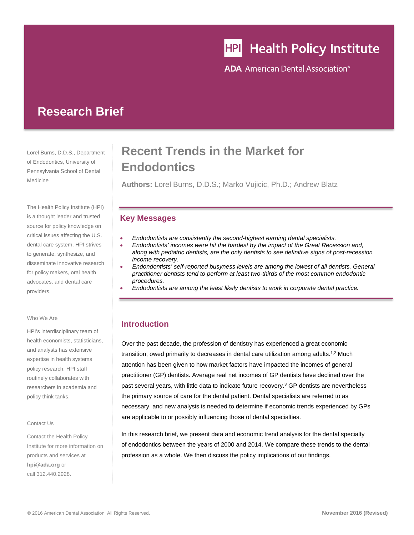# HPI Health Policy Institute

**ADA** American Dental Association<sup>®</sup>

## **Research Brief**

Lorel Burns, D.D.S., Department of Endodontics, University of Pennsylvania School of Dental Medicine

The Health Policy Institute (HPI) is a thought leader and trusted source for policy knowledge on critical issues affecting the U.S. dental care system. HPI strives to generate, synthesize, and disseminate innovative research for policy makers, oral health advocates, and dental care providers.

#### Who We Are

HPI's interdisciplinary team of health economists, statisticians, and analysts has extensive expertise in health systems policy research. HPI staff routinely collaborates with researchers in academia and policy think tanks.

#### Contact Us

Contact the Health Policy Institute for more information on products and services at **hpi@ada.org** or call 312.440.2928.

## **Recent Trends in the Market for Endodontics**

**Authors:** Lorel Burns, D.D.S.; Marko Vujicic, Ph.D.; Andrew Blatz

### **Key Messages**

- *Endodontists are consistently the second-highest earning dental specialists.*
- *Endodontists' incomes were hit the hardest by the impact of the Great Recession and, along with pediatric dentists, are the only dentists to see definitive signs of post-recession income recovery.*
- *Endondontists' self-reported busyness levels are among the lowest of all dentists. General practitioner dentists tend to perform at least two-thirds of the most common endodontic procedures.*
- *Endodontists are among the least likely dentists to work in corporate dental practice.*

## **Introduction**

Over the past decade, the profession of dentistry has experienced a great economic transition, owed primarily to decreases in dental care utilization among adults.1,2 Much attention has been given to how market factors have impacted the incomes of general practitioner (GP) dentists. Average real net incomes of GP dentists have declined over the past several years, with little data to indicate future recovery.<sup>3</sup> GP dentists are nevertheless the primary source of care for the dental patient. Dental specialists are referred to as necessary, and new analysis is needed to determine if economic trends experienced by GPs are applicable to or possibly influencing those of dental specialties.

In this research brief, we present data and economic trend analysis for the dental specialty of endodontics between the years of 2000 and 2014. We compare these trends to the dental profession as a whole. We then discuss the policy implications of our findings.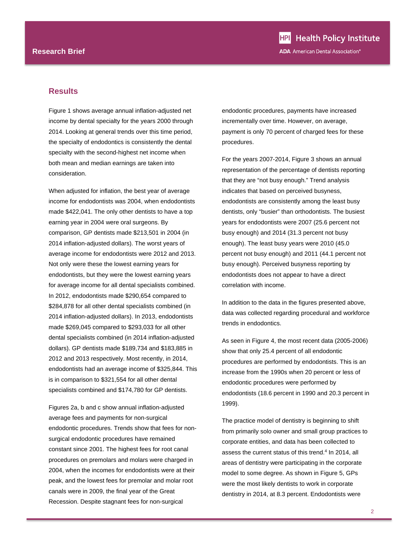#### **Results**

Figure 1 shows average annual inflation-adjusted net income by dental specialty for the years 2000 through 2014. Looking at general trends over this time period, the specialty of endodontics is consistently the dental specialty with the second-highest net income when both mean and median earnings are taken into consideration.

When adjusted for inflation, the best year of average income for endodontists was 2004, when endodontists made \$422,041. The only other dentists to have a top earning year in 2004 were oral surgeons. By comparison, GP dentists made \$213,501 in 2004 (in 2014 inflation-adjusted dollars). The worst years of average income for endodontists were 2012 and 2013. Not only were these the lowest earning years for endodontists, but they were the lowest earning years for average income for all dental specialists combined. In 2012, endodontists made \$290,654 compared to \$284,878 for all other dental specialists combined (in 2014 inflation-adjusted dollars). In 2013, endodontists made \$269,045 compared to \$293,033 for all other dental specialists combined (in 2014 inflation-adjusted dollars). GP dentists made \$189,734 and \$183,885 in 2012 and 2013 respectively. Most recently, in 2014, endodontists had an average income of \$325,844. This is in comparison to \$321,554 for all other dental specialists combined and \$174,780 for GP dentists.

Figures 2a, b and c show annual inflation-adjusted average fees and payments for non-surgical endodontic procedures. Trends show that fees for nonsurgical endodontic procedures have remained constant since 2001. The highest fees for root canal procedures on premolars and molars were charged in 2004, when the incomes for endodontists were at their peak, and the lowest fees for premolar and molar root canals were in 2009, the final year of the Great Recession. Despite stagnant fees for non-surgical

endodontic procedures, payments have increased incrementally over time. However, on average, payment is only 70 percent of charged fees for these procedures.

For the years 2007-2014, Figure 3 shows an annual representation of the percentage of dentists reporting that they are "not busy enough." Trend analysis indicates that based on perceived busyness, endodontists are consistently among the least busy dentists, only "busier" than orthodontists. The busiest years for endodontists were 2007 (25.6 percent not busy enough) and 2014 (31.3 percent not busy enough). The least busy years were 2010 (45.0 percent not busy enough) and 2011 (44.1 percent not busy enough). Perceived busyness reporting by endodontists does not appear to have a direct correlation with income.

In addition to the data in the figures presented above, data was collected regarding procedural and workforce trends in endodontics.

As seen in Figure 4, the most recent data (2005-2006) show that only 25.4 percent of all endodontic procedures are performed by endodontists. This is an increase from the 1990s when 20 percent or less of endodontic procedures were performed by endodontists (18.6 percent in 1990 and 20.3 percent in 1999).

The practice model of dentistry is beginning to shift from primarily solo owner and small group practices to corporate entities, and data has been collected to assess the current status of this trend.<sup>4</sup> In 2014, all areas of dentistry were participating in the corporate model to some degree. As shown in Figure 5, GPs were the most likely dentists to work in corporate dentistry in 2014, at 8.3 percent. Endodontists were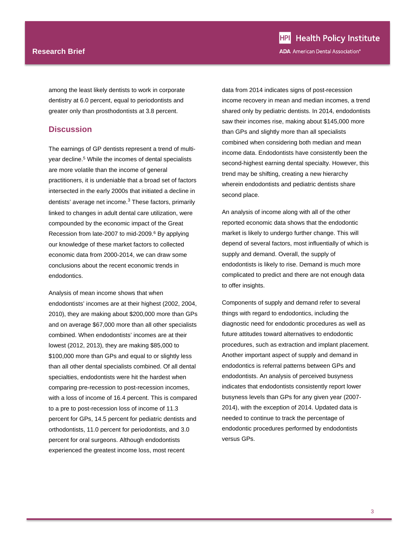#### **Research Brief**

among the least likely dentists to work in corporate dentistry at 6.0 percent, equal to periodontists and greater only than prosthodontists at 3.8 percent.

#### **Discussion**

The earnings of GP dentists represent a trend of multiyear decline.<sup>5</sup> While the incomes of dental specialists are more volatile than the income of general practitioners, it is undeniable that a broad set of factors intersected in the early 2000s that initiated a decline in dentists' average net income.<sup>3</sup> These factors, primarily linked to changes in adult dental care utilization, were compounded by the economic impact of the Great Recession from late-2007 to mid-2009.<sup>6</sup> By applying our knowledge of these market factors to collected economic data from 2000-2014, we can draw some conclusions about the recent economic trends in endodontics.

Analysis of mean income shows that when endodontists' incomes are at their highest (2002, 2004, 2010), they are making about \$200,000 more than GPs and on average \$67,000 more than all other specialists combined. When endodontists' incomes are at their lowest (2012, 2013), they are making \$85,000 to \$100,000 more than GPs and equal to or slightly less than all other dental specialists combined. Of all dental specialties, endodontists were hit the hardest when comparing pre-recession to post-recession incomes, with a loss of income of 16.4 percent. This is compared to a pre to post-recession loss of income of 11.3 percent for GPs, 14.5 percent for pediatric dentists and orthodontists, 11.0 percent for periodontists, and 3.0 percent for oral surgeons. Although endodontists experienced the greatest income loss, most recent

data from 2014 indicates signs of post-recession income recovery in mean and median incomes, a trend shared only by pediatric dentists. In 2014, endodontists saw their incomes rise, making about \$145,000 more than GPs and slightly more than all specialists combined when considering both median and mean income data. Endodontists have consistently been the second-highest earning dental specialty. However, this trend may be shifting, creating a new hierarchy wherein endodontists and pediatric dentists share second place.

An analysis of income along with all of the other reported economic data shows that the endodontic market is likely to undergo further change. This will depend of several factors, most influentially of which is supply and demand. Overall, the supply of endodontists is likely to rise. Demand is much more complicated to predict and there are not enough data to offer insights.

Components of supply and demand refer to several things with regard to endodontics, including the diagnostic need for endodontic procedures as well as future attitudes toward alternatives to endodontic procedures, such as extraction and implant placement. Another important aspect of supply and demand in endodontics is referral patterns between GPs and endodontists. An analysis of perceived busyness indicates that endodontists consistently report lower busyness levels than GPs for any given year (2007- 2014), with the exception of 2014. Updated data is needed to continue to track the percentage of endodontic procedures performed by endodontists versus GPs.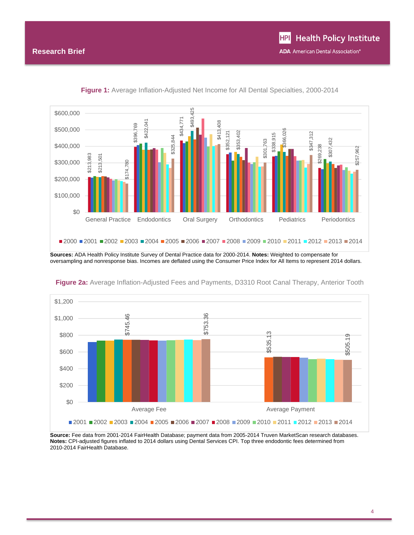

**Figure 1:** Average Inflation-Adjusted Net Income for All Dental Specialties, 2000-2014

**Sources:** ADA Health Policy Institute Survey of Dental Practice data for 2000-2014. **Notes:** Weighted to compensate for oversampling and nonresponse bias. Incomes are deflated using the Consumer Price Index for All Items to represent 2014 dollars.



**Figure 2a:** Average Inflation-Adjusted Fees and Payments, D3310 Root Canal Therapy, Anterior Tooth

**Source:** Fee data from 2001-2014 FairHealth Database; payment data from 2005-2014 Truven MarketScan research databases. **Notes:** CPI-adjusted figures inflated to 2014 dollars using Dental Services CPI. Top three endodontic fees determined from 2010-2014 FairHealth Database.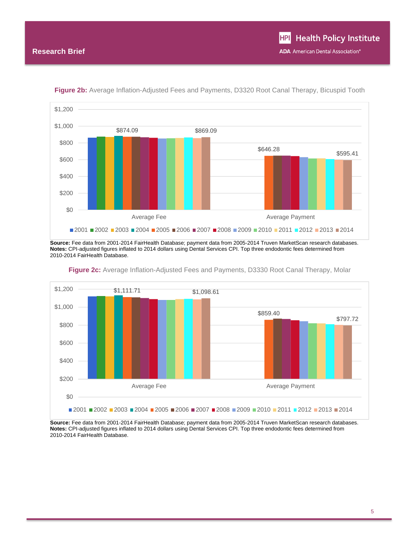

**Figure 2b:** Average Inflation-Adjusted Fees and Payments, D3320 Root Canal Therapy, Bicuspid Tooth

**Source:** Fee data from 2001-2014 FairHealth Database; payment data from 2005-2014 Truven MarketScan research databases. **Notes:** CPI-adjusted figures inflated to 2014 dollars using Dental Services CPI. Top three endodontic fees determined from 2010-2014 FairHealth Database.



**Figure 2c:** Average Inflation-Adjusted Fees and Payments, D3330 Root Canal Therapy, Molar

**Source:** Fee data from 2001-2014 FairHealth Database; payment data from 2005-2014 Truven MarketScan research databases. **Notes:** CPI-adjusted figures inflated to 2014 dollars using Dental Services CPI. Top three endodontic fees determined from 2010-2014 FairHealth Database.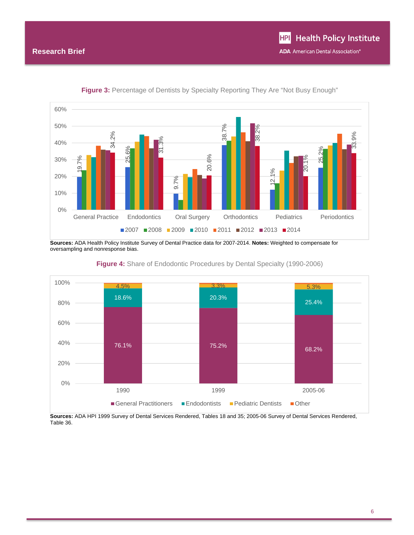

**Figure 3:** Percentage of Dentists by Specialty Reporting They Are "Not Busy Enough"

**Sources:** ADA Health Policy Institute Survey of Dental Practice data for 2007-2014. **Notes:** Weighted to compensate for oversampling and nonresponse bias.





**Sources:** ADA HPI 1999 Survey of Dental Services Rendered, Tables 18 and 35; 2005-06 Survey of Dental Services Rendered, Table 36.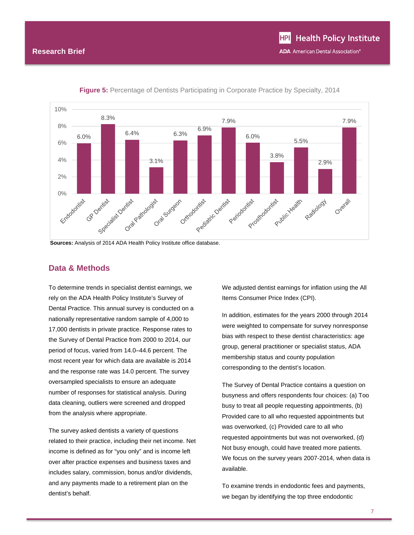

**Figure 5:** Percentage of Dentists Participating in Corporate Practice by Specialty, 2014

**Sources:** Analysis of 2014 ADA Health Policy Institute office database.

## **Data & Methods**

To determine trends in specialist dentist earnings, we rely on the ADA Health Policy Institute's Survey of Dental Practice. This annual survey is conducted on a nationally representative random sample of 4,000 to 17,000 dentists in private practice. Response rates to the Survey of Dental Practice from 2000 to 2014, our period of focus, varied from 14.0–44.6 percent. The most recent year for which data are available is 2014 and the response rate was 14.0 percent. The survey oversampled specialists to ensure an adequate number of responses for statistical analysis. During data cleaning, outliers were screened and dropped from the analysis where appropriate.

The survey asked dentists a variety of questions related to their practice, including their net income. Net income is defined as for "you only" and is income left over after practice expenses and business taxes and includes salary, commission, bonus and/or dividends, and any payments made to a retirement plan on the dentist's behalf.

We adjusted dentist earnings for inflation using the All Items Consumer Price Index (CPI).

In addition, estimates for the years 2000 through 2014 were weighted to compensate for survey nonresponse bias with respect to these dentist characteristics: age group, general practitioner or specialist status, ADA membership status and county population corresponding to the dentist's location.

The Survey of Dental Practice contains a question on busyness and offers respondents four choices: (a) Too busy to treat all people requesting appointments, (b) Provided care to all who requested appointments but was overworked, (c) Provided care to all who requested appointments but was not overworked, (d) Not busy enough, could have treated more patients. We focus on the survey years 2007-2014, when data is available.

To examine trends in endodontic fees and payments, we began by identifying the top three endodontic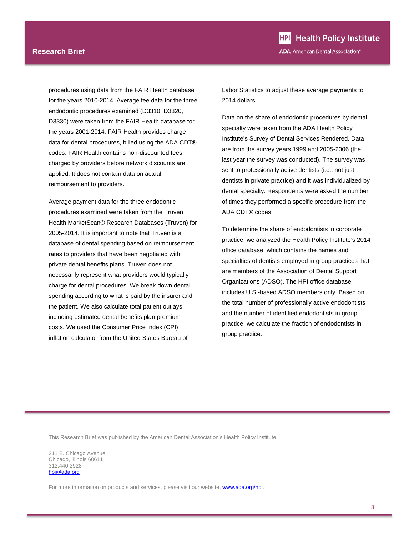procedures using data from the FAIR Health database for the years 2010-2014. Average fee data for the three endodontic procedures examined (D3310, D3320, D3330) were taken from the FAIR Health database for the years 2001-2014. FAIR Health provides charge data for dental procedures, billed using the ADA CDT® codes. FAIR Health contains non-discounted fees charged by providers before network discounts are applied. It does not contain data on actual reimbursement to providers.

Average payment data for the three endodontic procedures examined were taken from the Truven Health MarketScan® Research Databases (Truven) for 2005-2014. It is important to note that Truven is a database of dental spending based on reimbursement rates to providers that have been negotiated with private dental benefits plans. Truven does not necessarily represent what providers would typically charge for dental procedures. We break down dental spending according to what is paid by the insurer and the patient. We also calculate total patient outlays, including estimated dental benefits plan premium costs. We used the Consumer Price Index (CPI) inflation calculator from the United States Bureau of

Labor Statistics to adjust these average payments to 2014 dollars.

Data on the share of endodontic procedures by dental specialty were taken from the ADA Health Policy Institute's Survey of Dental Services Rendered. Data are from the survey years 1999 and 2005-2006 (the last year the survey was conducted). The survey was sent to professionally active dentists (i.e., not just dentists in private practice) and it was individualized by dental specialty. Respondents were asked the number of times they performed a specific procedure from the ADA CDT® codes.

To determine the share of endodontists in corporate practice, we analyzed the Health Policy Institute's 2014 office database, which contains the names and specialties of dentists employed in group practices that are members of the Association of Dental Support Organizations (ADSO). The HPI office database includes U.S.-based ADSO members only. Based on the total number of professionally active endodontists and the number of identified endodontists in group practice, we calculate the fraction of endodontists in group practice.

This Research Brief was published by the American Dental Association's Health Policy Institute.

211 E. Chicago Avenue Chicago, Illinois 60611 312.440.2928 hpi@ada.org

For more information on products and services, please visit our website, **www.ada.org/hpi**.